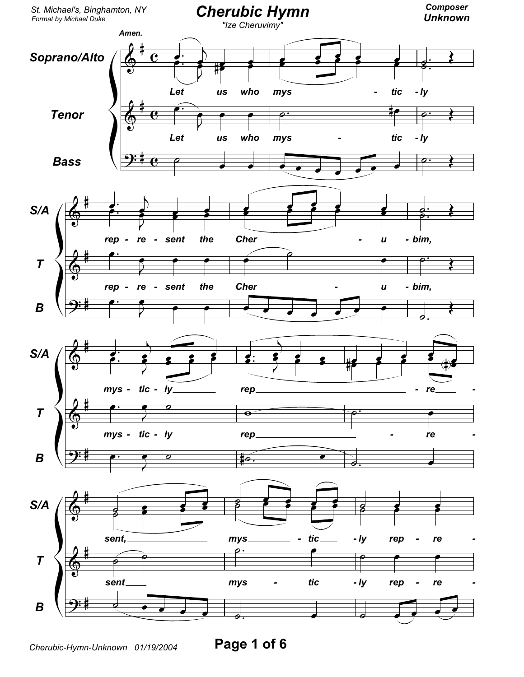

Page 1 of 6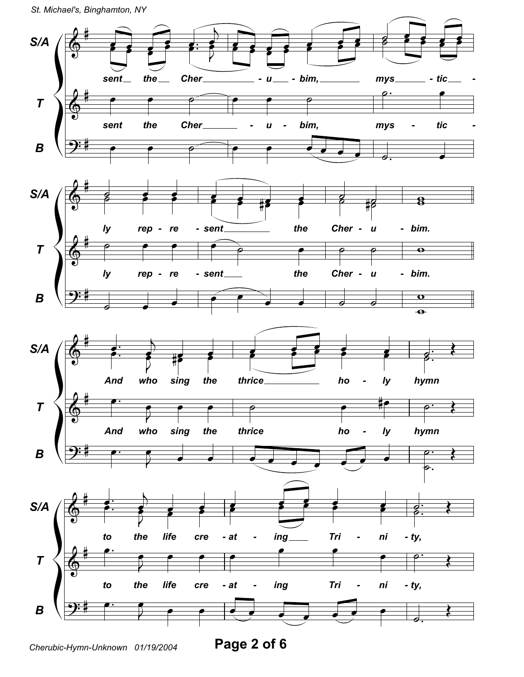St. Michael's, Binghamton, NY



Page 2 of 6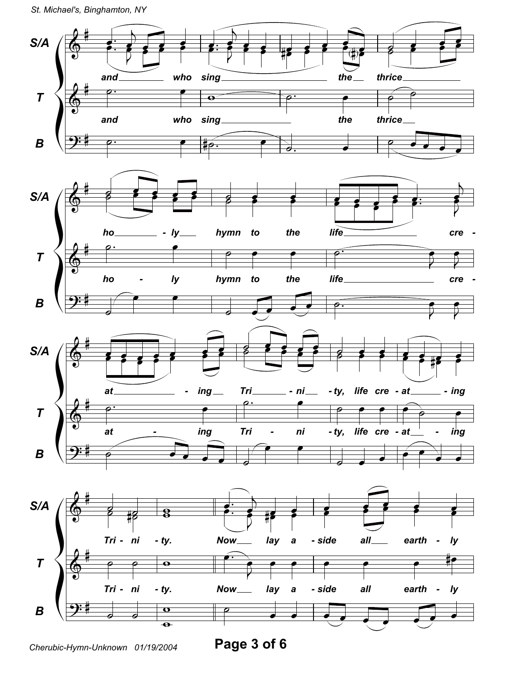

Page 3 of 6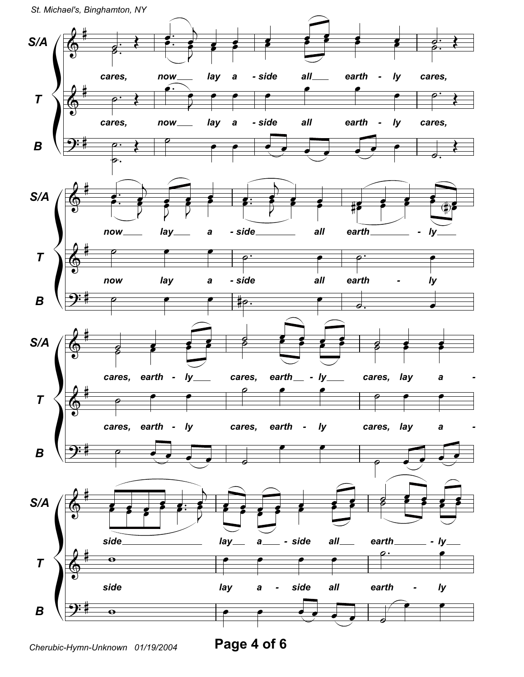St. Michael's, Binghamton, NY



Page 4 of 6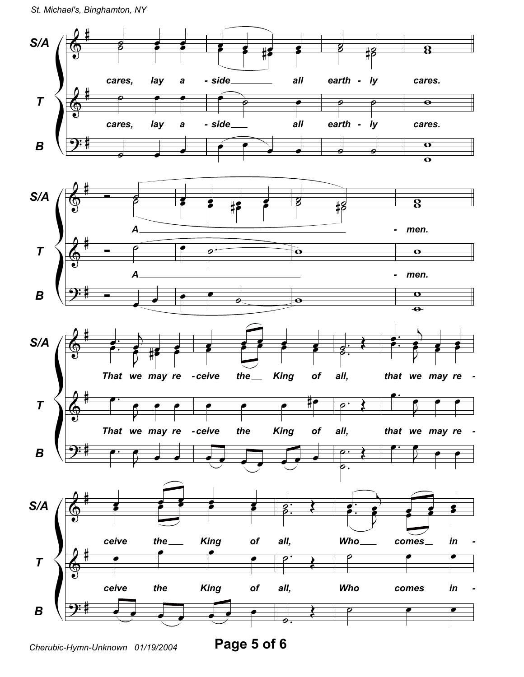